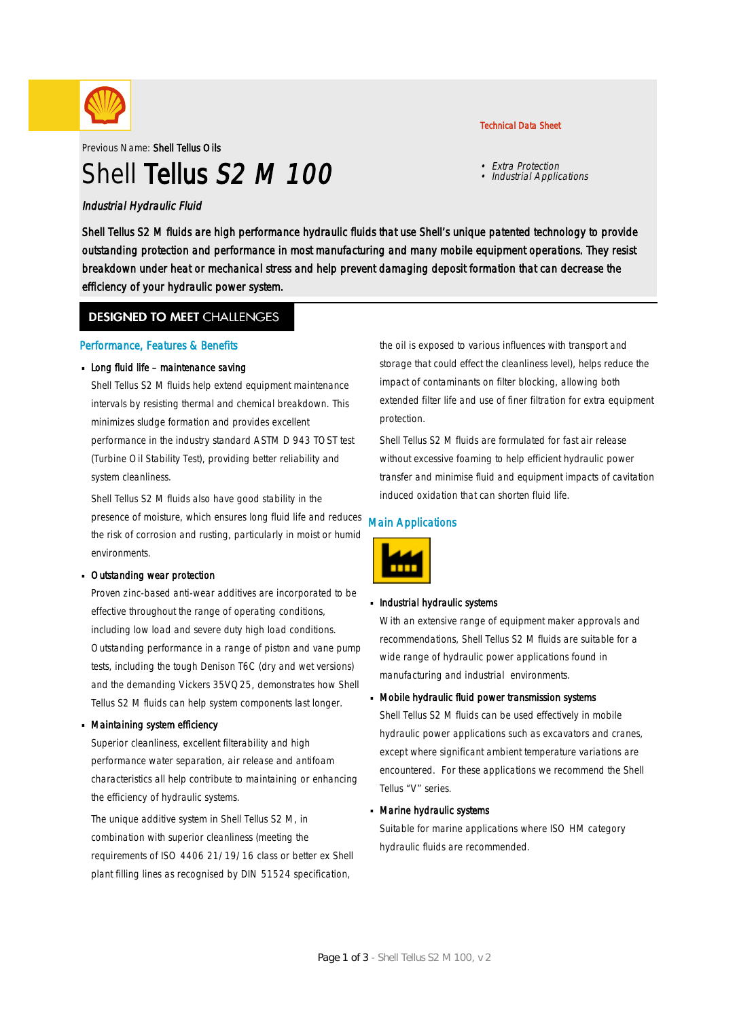

Previous Name: Shell Tellus Oils

# Shell Tellus S<sub>2</sub> M 100

### Industrial Hydraulic Fluid

Shell Tellus S2 M fluids are high performance hydraulic fluids that use Shell's unique patented technology to provide outstanding protection and performance in most manufacturing and many mobile equipment operations. They resist breakdown under heat or mechanical stress and help prevent damaging deposit formation that can decrease the efficiency of your hydraulic power system.

### **DESIGNED TO MEET CHALLENGES**

### Performance, Features & Benefits

### Long fluid life – maintenance saving

Shell Tellus S2 M fluids help extend equipment maintenance intervals by resisting thermal and chemical breakdown. This minimizes sludge formation and provides excellent performance in the industry standard ASTM D 943 TOST test (Turbine Oil Stability Test), providing better reliability and system cleanliness.

Shell Tellus S2 M fluids also have good stability in the presence of moisture, which ensures long fluid life and reduces the risk of corrosion and rusting, particularly in moist or humid environments.

### Outstanding wear protection ·

Proven zinc-based anti-wear additives are incorporated to be effective throughout the range of operating conditions, including low load and severe duty high load conditions. Outstanding performance in a range of piston and vane pump tests, including the tough Denison T6C (dry and wet versions) and the demanding Vickers 35VQ25, demonstrates how Shell Tellus S2 M fluids can help system components last longer.

### Maintaining system efficiency ·

Superior cleanliness, excellent filterability and high performance water separation, air release and antifoam characteristics all help contribute to maintaining or enhancing the efficiency of hydraulic systems.

The unique additive system in Shell Tellus S2 M, in combination with superior cleanliness (meeting the requirements of ISO 4406 21/19/16 class or better ex Shell plant filling lines as recognised by DIN 51524 specification,

the oil is exposed to various influences with transport and storage that could effect the cleanliness level), helps reduce the impact of contaminants on filter blocking, allowing both extended filter life and use of finer filtration for extra equipment protection.

Shell Tellus S2 M fluids are formulated for fast air release without excessive foaming to help efficient hydraulic power transfer and minimise fluid and equipment impacts of cavitation induced oxidation that can shorten fluid life.

### Main Applications



## **Industrial hydraulic systems**

With an extensive range of equipment maker approvals and recommendations, Shell Tellus S2 M fluids are suitable for a wide range of hydraulic power applications found in manufacturing and industrial environments.

## Mobile hydraulic fluid power transmission systems ·

Shell Tellus S2 M fluids can be used effectively in mobile hydraulic power applications such as excavators and cranes, except where significant ambient temperature variations are encountered. For these applications we recommend the Shell Tellus "V" series.

## Marine hydraulic systems ·

Suitable for marine applications where ISO HM category hydraulic fluids are recommended.

Technical Data Sheet

• Extra Protection • Industrial Applications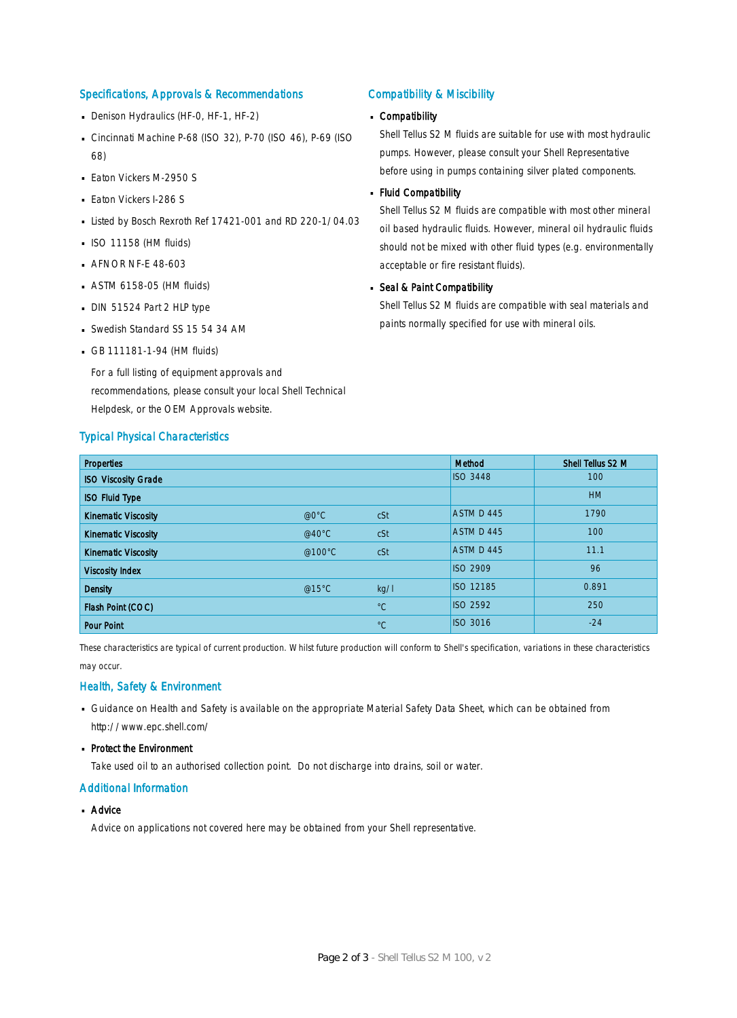### Specifications, Approvals & Recommendations

- Denison Hydraulics (HF-0, HF-1, HF-2)
- Cincinnati Machine P-68 (ISO 32), P-70 (ISO 46), P-69 (ISO 68)
- **Eaton Vickers M-2950 S**
- **Eaton Vickers I-286 S**
- Listed by Bosch Rexroth Ref 17421-001 and RD 220-1/04.03
- $\blacksquare$  ISO 11158 (HM fluids)
- **AFNOR NF-E 48-603**
- ASTM 6158-05 (HM fluids) ·
- DIN 51524 Part 2 HLP type
- Swedish Standard SS 15 54 34 AM
- GB 111181-1-94 (HM fluids)

For a full listing of equipment approvals and recommendations, please consult your local Shell Technical Helpdesk, or the OEM Approvals website.

#### Typical Physical Characteristics

### Compatibility & Miscibility

## Compatibility ·

Shell Tellus S2 M fluids are suitable for use with most hydraulic pumps. However, please consult your Shell Representative before using in pumps containing silver plated components.

#### Fluid Compatibility ·

Shell Tellus S2 M fluids are compatible with most other mineral oil based hydraulic fluids. However, mineral oil hydraulic fluids should not be mixed with other fluid types (e.g. environmentally acceptable or fire resistant fluids).

## Seal & Paint Compatibility

Shell Tellus S2 M fluids are compatible with seal materials and paints normally specified for use with mineral oils.

| <b>Properties</b>          |                  |             | Method          | Shell Tellus S2 M |
|----------------------------|------------------|-------------|-----------------|-------------------|
| <b>ISO Viscosity Grade</b> |                  |             | <b>ISO 3448</b> | 100               |
| <b>ISO Fluid Type</b>      |                  |             |                 | <b>HM</b>         |
| <b>Kinematic Viscosity</b> | @0°C             | cSt         | ASTM D 445      | 1790              |
| <b>Kinematic Viscosity</b> | @40 $^{\circ}$ C | cSt         | ASTM D 445      | 100               |
| <b>Kinematic Viscosity</b> | @100°C           | cSt         | ASTM D 445      | 11.1              |
| <b>Viscosity Index</b>     |                  |             | <b>ISO 2909</b> | 96                |
| <b>Density</b>             | @15°C            | kg/l        | ISO 12185       | 0.891             |
| Flash Point (COC)          |                  | $^{\circ}C$ | <b>ISO 2592</b> | 250               |
| <b>Pour Point</b>          |                  | $^{\circ}C$ | <b>ISO 3016</b> | $-24$             |

These characteristics are typical of current production. Whilst future production will conform to Shell's specification, variations in these characteristics may occur.

### Health, Safety & Environment

- Guidance on Health and Safety is available on the appropriate Material Safety Data Sheet, which can be obtained from http://www.epc.shell.com/
- Protect the Environment

Take used oil to an authorised collection point. Do not discharge into drains, soil or water.

### Additional Information

■ Advice

Advice on applications not covered here may be obtained from your Shell representative.